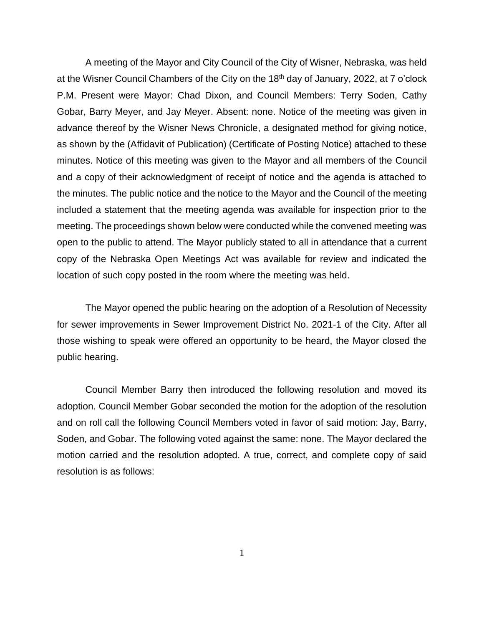A meeting of the Mayor and City Council of the City of Wisner, Nebraska, was held at the Wisner Council Chambers of the City on the 18th day of January, 2022, at 7 o'clock P.M. Present were Mayor: Chad Dixon, and Council Members: Terry Soden, Cathy Gobar, Barry Meyer, and Jay Meyer. Absent: none. Notice of the meeting was given in advance thereof by the Wisner News Chronicle, a designated method for giving notice, as shown by the (Affidavit of Publication) (Certificate of Posting Notice) attached to these minutes. Notice of this meeting was given to the Mayor and all members of the Council and a copy of their acknowledgment of receipt of notice and the agenda is attached to the minutes. The public notice and the notice to the Mayor and the Council of the meeting included a statement that the meeting agenda was available for inspection prior to the meeting. The proceedings shown below were conducted while the convened meeting was open to the public to attend. The Mayor publicly stated to all in attendance that a current copy of the Nebraska Open Meetings Act was available for review and indicated the location of such copy posted in the room where the meeting was held.

The Mayor opened the public hearing on the adoption of a Resolution of Necessity for sewer improvements in Sewer Improvement District No. 2021-1 of the City. After all those wishing to speak were offered an opportunity to be heard, the Mayor closed the public hearing.

Council Member Barry then introduced the following resolution and moved its adoption. Council Member Gobar seconded the motion for the adoption of the resolution and on roll call the following Council Members voted in favor of said motion: Jay, Barry, Soden, and Gobar. The following voted against the same: none. The Mayor declared the motion carried and the resolution adopted. A true, correct, and complete copy of said resolution is as follows:

1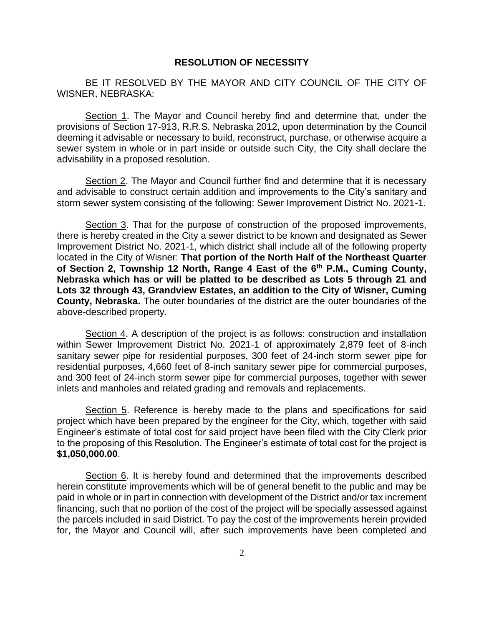## **RESOLUTION OF NECESSITY**

BE IT RESOLVED BY THE MAYOR AND CITY COUNCIL OF THE CITY OF WISNER, NEBRASKA:

Section 1. The Mayor and Council hereby find and determine that, under the provisions of Section 17-913, R.R.S. Nebraska 2012, upon determination by the Council deeming it advisable or necessary to build, reconstruct, purchase, or otherwise acquire a sewer system in whole or in part inside or outside such City, the City shall declare the advisability in a proposed resolution.

Section 2. The Mayor and Council further find and determine that it is necessary and advisable to construct certain addition and improvements to the City's sanitary and storm sewer system consisting of the following: Sewer Improvement District No. 2021-1.

Section 3. That for the purpose of construction of the proposed improvements, there is hereby created in the City a sewer district to be known and designated as Sewer Improvement District No. 2021-1, which district shall include all of the following property located in the City of Wisner: **That portion of the North Half of the Northeast Quarter of Section 2, Township 12 North, Range 4 East of the 6th P.M., Cuming County, Nebraska which has or will be platted to be described as Lots 5 through 21 and Lots 32 through 43, Grandview Estates, an addition to the City of Wisner, Cuming County, Nebraska.** The outer boundaries of the district are the outer boundaries of the above-described property.

Section 4. A description of the project is as follows: construction and installation within Sewer Improvement District No. 2021-1 of approximately 2,879 feet of 8-inch sanitary sewer pipe for residential purposes, 300 feet of 24-inch storm sewer pipe for residential purposes, 4,660 feet of 8-inch sanitary sewer pipe for commercial purposes, and 300 feet of 24-inch storm sewer pipe for commercial purposes, together with sewer inlets and manholes and related grading and removals and replacements.

Section 5. Reference is hereby made to the plans and specifications for said project which have been prepared by the engineer for the City, which, together with said Engineer's estimate of total cost for said project have been filed with the City Clerk prior to the proposing of this Resolution. The Engineer's estimate of total cost for the project is **\$1,050,000.00**.

Section 6. It is hereby found and determined that the improvements described herein constitute improvements which will be of general benefit to the public and may be paid in whole or in part in connection with development of the District and/or tax increment financing, such that no portion of the cost of the project will be specially assessed against the parcels included in said District. To pay the cost of the improvements herein provided for, the Mayor and Council will, after such improvements have been completed and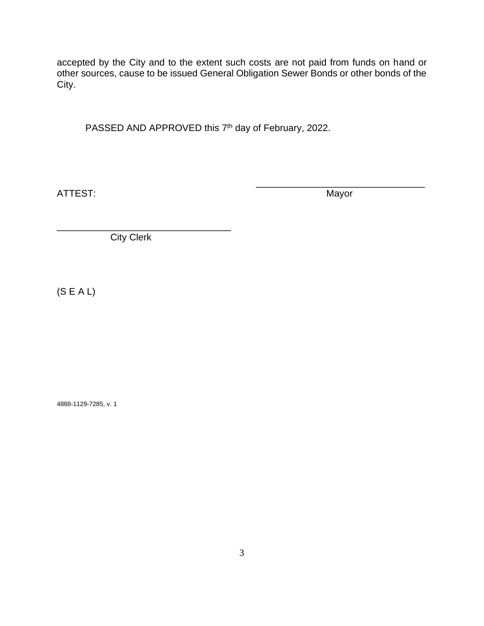accepted by the City and to the extent such costs are not paid from funds on hand or other sources, cause to be issued General Obligation Sewer Bonds or other bonds of the City.

PASSED AND APPROVED this  $7<sup>th</sup>$  day of February, 2022.

ATTEST: Mayor

\_\_\_\_\_\_\_\_\_\_\_\_\_\_\_\_\_\_\_\_\_\_\_\_\_\_\_\_\_\_\_\_

\_\_\_\_\_\_\_\_\_\_\_\_\_\_\_\_\_\_\_\_\_\_\_\_\_\_\_\_\_\_\_\_\_ City Clerk

(S E A L)

4888-1129-7285, v. 1